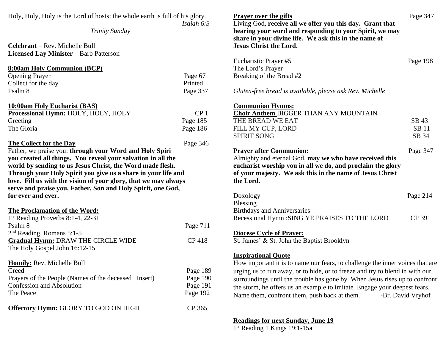| Holy, Holy, Holy is the Lord of hosts; the whole earth is full of his glory.<br>Isaiah $6:3$                                     | <b>Prayer over the gifts</b><br>Living God, receive all we offer you this day. Grant that<br>hearing your word and responding to your Spirit, we may<br>share in your divine life. We ask this in the name of                                                                                                                                                                                                                | Page 347                       |
|----------------------------------------------------------------------------------------------------------------------------------|------------------------------------------------------------------------------------------------------------------------------------------------------------------------------------------------------------------------------------------------------------------------------------------------------------------------------------------------------------------------------------------------------------------------------|--------------------------------|
|                                                                                                                                  | <b>Jesus Christ the Lord.</b>                                                                                                                                                                                                                                                                                                                                                                                                |                                |
| Page 67<br>Printed<br>Page 337                                                                                                   | The Lord's Prayer<br>Breaking of the Bread #2<br>Gluten-free bread is available, please ask Rev. Michelle                                                                                                                                                                                                                                                                                                                    | Page 198                       |
| CP <sub>1</sub><br>Page 185<br>Page 186                                                                                          | <b>Communion Hymns:</b><br><b>Choir Anthem BIGGER THAN ANY MOUNTAIN</b><br>THE BREAD WE EAT<br>FILL MY CUP, LORD<br><b>SPIRIT SONG</b>                                                                                                                                                                                                                                                                                       | SB 43<br><b>SB</b> 11<br>SB 34 |
| Through your Holy Spirit you give us a share in your life and<br>love. Fill us with the vision of your glory, that we may always | <b>Prayer after Communion:</b><br>Almighty and eternal God, may we who have received this<br>eucharist worship you in all we do, and proclaim the glory<br>of your majesty. We ask this in the name of Jesus Christ<br>the Lord.                                                                                                                                                                                             | Page 347                       |
|                                                                                                                                  | Doxology<br><b>Blessing</b>                                                                                                                                                                                                                                                                                                                                                                                                  | Page 214                       |
| Page 711<br><b>CP418</b>                                                                                                         | <b>Birthdays and Anniversaries</b><br>Recessional Hymn : SING YE PRAISES TO THE LORD<br><b>Diocese Cycle of Prayer:</b><br>St. James' & St. John the Baptist Brooklyn                                                                                                                                                                                                                                                        | CP 391                         |
| Page 189<br>Page 190<br>Page 191<br>Page 192<br>CP 365                                                                           | <b>Inspirational Quote</b><br>How important it is to name our fears, to challenge the inner voices that are<br>urging us to run away, or to hide, or to freeze and try to blend in with our<br>surroundings until the trouble has gone by. When Jesus rises up to confront<br>the storm, he offers us an example to imitate. Engage your deepest fears.<br>Name them, confront them, push back at them.<br>-Br. David Vryhof |                                |
|                                                                                                                                  | Page 346                                                                                                                                                                                                                                                                                                                                                                                                                     | Eucharistic Prayer #5          |

**Readings for next Sunday, June 19** 1 st Reading 1 Kings 19:1-15a